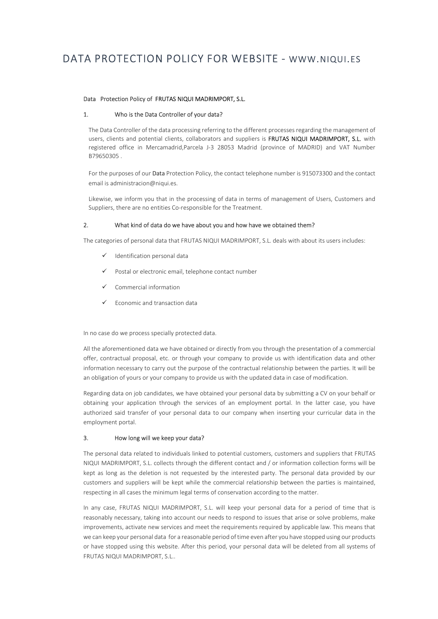# DATA PROTECTION POLICY FOR WEBSITE - WWW.NIQUI.ES

## Data Protection Policy of FRUTAS NIQUI MADRIMPORT, S.L.

#### 1. Who is the Data Controller of your data?

The Data Controller of the data processing referring to the different processes regarding the management of users, clients and potential clients, collaborators and suppliers is FRUTAS NIQUI MADRIMPORT, S.L. with registered office in Mercamadrid,Parcela J-3 28053 Madrid (province of MADRID) and VAT Number B79650305 .

For the purposes of our Data Protection Policy, the contact telephone number is 915073300 and the contact email is administracion@niqui.es.

Likewise, we inform you that in the processing of data in terms of management of Users, Customers and Suppliers, there are no entities Co-responsible for the Treatment.

## 2. What kind of data do we have about you and how have we obtained them?

The categories of personal data that FRUTAS NIQUI MADRIMPORT, S.L. deals with about its users includes:

- $\checkmark$  Identification personal data
- $\checkmark$  Postal or electronic email, telephone contact number
- $\checkmark$  Commercial information
- $\checkmark$  Economic and transaction data

In no case do we process specially protected data.

All the aforementioned data we have obtained or directly from you through the presentation of a commercial offer, contractual proposal, etc. or through your company to provide us with identification data and other information necessary to carry out the purpose of the contractual relationship between the parties. It will be an obligation of yours or your company to provide us with the updated data in case of modification.

Regarding data on job candidates, we have obtained your personal data by submitting a CV on your behalf or obtaining your application through the services of an employment portal. In the latter case, you have authorized said transfer of your personal data to our company when inserting your curricular data in the employment portal.

## 3. How long will we keep your data?

The personal data related to individuals linked to potential customers, customers and suppliers that FRUTAS NIQUI MADRIMPORT, S.L. collects through the different contact and / or information collection forms will be kept as long as the deletion is not requested by the interested party. The personal data provided by our customers and suppliers will be kept while the commercial relationship between the parties is maintained, respecting in all cases the minimum legal terms of conservation according to the matter.

In any case, FRUTAS NIQUI MADRIMPORT, S.L. will keep your personal data for a period of time that is reasonably necessary, taking into account our needs to respond to issues that arise or solve problems, make improvements, activate new services and meet the requirements required by applicable law. This means that we can keep your personal data for a reasonable period of time even after you have stopped using our products or have stopped using this website. After this period, your personal data will be deleted from all systems of FRUTAS NIQUI MADRIMPORT, S.L..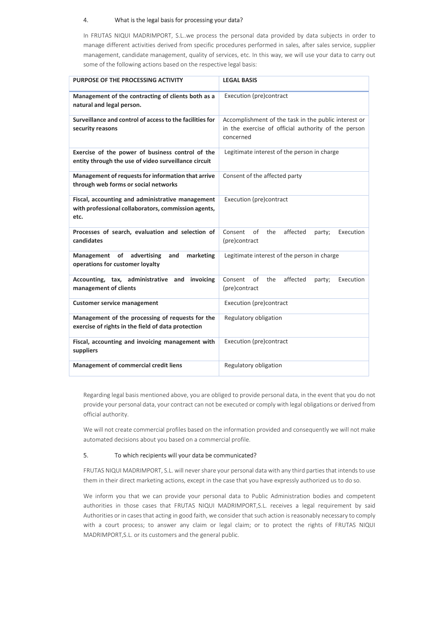## 4. What is the legal basis for processing your data?

In FRUTAS NIQUI MADRIMPORT, S.L..we process the personal data provided by data subjects in order to manage different activities derived from specific procedures performed in sales, after sales service, supplier management, candidate management, quality of services, etc. In this way, we will use your data to carry out some of the following actions based on the respective legal basis:

| PURPOSE OF THE PROCESSING ACTIVITY                                                                              | <b>LEGAL BASIS</b>                                                                                                       |  |  |  |
|-----------------------------------------------------------------------------------------------------------------|--------------------------------------------------------------------------------------------------------------------------|--|--|--|
| Management of the contracting of clients both as a<br>natural and legal person.                                 | Execution (pre)contract                                                                                                  |  |  |  |
| Surveillance and control of access to the facilities for<br>security reasons                                    | Accomplishment of the task in the public interest or<br>in the exercise of official authority of the person<br>concerned |  |  |  |
| Exercise of the power of business control of the<br>entity through the use of video surveillance circuit        | Legitimate interest of the person in charge                                                                              |  |  |  |
| Management of requests for information that arrive<br>through web forms or social networks                      | Consent of the affected party                                                                                            |  |  |  |
| Fiscal, accounting and administrative management<br>with professional collaborators, commission agents,<br>etc. | Execution (pre)contract                                                                                                  |  |  |  |
| Processes of search, evaluation and selection of<br>candidates                                                  | of<br>Consent<br>the<br>affected<br>Execution<br>party;<br>(pre)contract                                                 |  |  |  |
| Management of<br>advertising<br>and<br>marketing<br>operations for customer loyalty                             | Legitimate interest of the person in charge                                                                              |  |  |  |
| Accounting, tax, administrative and<br>invoicing<br>management of clients                                       | affected<br>Consent<br>of<br>the<br>Execution<br>party;<br>(pre)contract                                                 |  |  |  |
| <b>Customer service management</b>                                                                              | Execution (pre)contract                                                                                                  |  |  |  |
| Management of the processing of requests for the<br>exercise of rights in the field of data protection          | Regulatory obligation                                                                                                    |  |  |  |
| Fiscal, accounting and invoicing management with<br>suppliers                                                   | Execution (pre)contract                                                                                                  |  |  |  |
| <b>Management of commercial credit liens</b>                                                                    | Regulatory obligation                                                                                                    |  |  |  |

Regarding legal basis mentioned above, you are obliged to provide personal data, in the event that you do not provide your personal data, your contract can not be executed or comply with legal obligations or derived from official authority.

We will not create commercial profiles based on the information provided and consequently we will not make automated decisions about you based on a commercial profile.

#### 5. To which recipients will your data be communicated?

FRUTAS NIQUI MADRIMPORT, S.L. will never share your personal data with any third parties that intends to use them in their direct marketing actions, except in the case that you have expressly authorized us to do so.

We inform you that we can provide your personal data to Public Administration bodies and competent authorities in those cases that FRUTAS NIQUI MADRIMPORT, S.L. receives a legal requirement by said Authorities or in cases that acting in good faith, we consider that such action is reasonably necessary to comply with a court process; to answer any claim or legal claim; or to protect the rights of FRUTAS NIQUI MADRIMPORT,S.L. or its customers and the general public.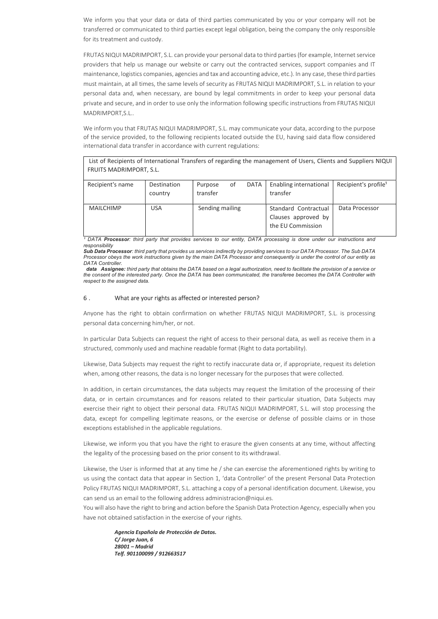We inform you that your data or data of third parties communicated by you or your company will not be transferred or communicated to third parties except legal obligation, being the company the only responsible for its treatment and custody.

FRUTAS NIQUI MADRIMPORT, S.L. can provide your personal data to third parties (for example, Internet service providers that help us manage our website or carry out the contracted services, support companies and IT maintenance, logistics companies, agencies and tax and accounting advice, etc.). In any case, these third parties must maintain, at all times, the same levels of security as FRUTAS NIQUI MADRIMPORT, S.L. in relation to your personal data and, when necessary, are bound by legal commitments in order to keep your personal data private and secure, and in order to use only the information following specific instructions from FRUTAS NIQUI MADRIMPORT,S.L..

We inform you that FRUTAS NIQUI MADRIMPORT, S.L. may communicate your data, according to the purpose of the service provided, to the following recipients located outside the EU, having said data flow considered international data transfer in accordance with current regulations:

List of Recipients of International Transfers of regarding the management of Users, Clients and Suppliers NIQUI FRUITS MADRIMPORT, S.L.

| Recipient's name | Destination<br>country | 0f<br>Purpose<br>transfer | DATA | Enabling international<br>transfer                               | Recipient's profile <sup>1</sup> |
|------------------|------------------------|---------------------------|------|------------------------------------------------------------------|----------------------------------|
| <b>MAILCHIMP</b> | <b>USA</b>             | Sending mailing           |      | Standard Contractual<br>Clauses approved by<br>the EU Commission | Data Processor                   |

<sup>1</sup> DATA Processor: third party that provides services to our entity, DATA processing is done under our instructions and responsibility

Sub Data Processor: third party that provides us services indirectly by providing services to our DATA Processor. The Sub DATA Processor obeys the work instructions given by the main DATA Processor and consequently is under the control of our entity as DATA Controller.

 data Assignee: third party that obtains the DATA based on a legal authorization, need to facilitate the provision of a service or the consent of the interested party. Once the DATA has been communicated, the transferee becomes the DATA Controller with respect to the assigned data.

#### 6 . What are your rights as affected or interested person?

Anyone has the right to obtain confirmation on whether FRUTAS NIQUI MADRIMPORT, S.L. is processing personal data concerning him/her, or not.

In particular Data Subjects can request the right of access to their personal data, as well as receive them in a structured, commonly used and machine readable format (Right to data portability).

Likewise, Data Subjects may request the right to rectify inaccurate data or, if appropriate, request its deletion when, among other reasons, the data is no longer necessary for the purposes that were collected.

In addition, in certain circumstances, the data subjects may request the limitation of the processing of their data, or in certain circumstances and for reasons related to their particular situation, Data Subjects may exercise their right to object their personal data. FRUTAS NIQUI MADRIMPORT, S.L. will stop processing the data, except for compelling legitimate reasons, or the exercise or defense of possible claims or in those exceptions established in the applicable regulations.

Likewise, we inform you that you have the right to erasure the given consents at any time, without affecting the legality of the processing based on the prior consent to its withdrawal.

Likewise, the User is informed that at any time he / she can exercise the aforementioned rights by writing to us using the contact data that appear in Section 1, 'data Controller' of the present Personal Data Protection Policy FRUTAS NIQUI MADRIMPORT, S.L. attaching a copy of a personal identification document. Likewise, you can send us an email to the following address administracion@niqui.es.

You will also have the right to bring and action before the Spanish Data Protection Agency, especially when you have not obtained satisfaction in the exercise of your rights.

> Agencia Española de Protección de Datos. C/ Jorge Juan, 6 28001 – Madrid Telf. 901100099 / 912663517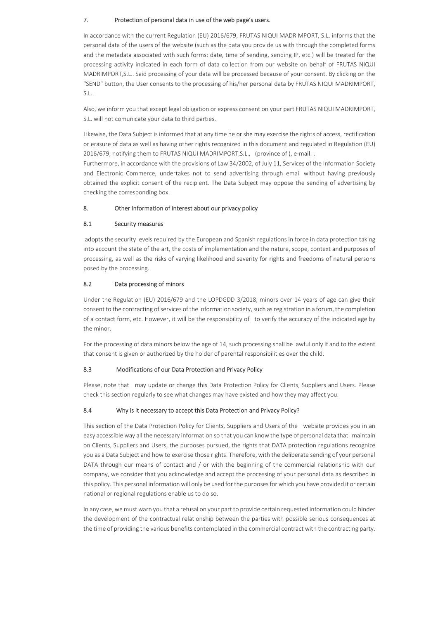# 7. Protection of personal data in use of the web page's users.

In accordance with the current Regulation (EU) 2016/679, FRUTAS NIQUI MADRIMPORT, S.L. informs that the personal data of the users of the website (such as the data you provide us with through the completed forms and the metadata associated with such forms: date, time of sending, sending IP, etc.) will be treated for the processing activity indicated in each form of data collection from our website on behalf of FRUTAS NIQUI MADRIMPORT,S.L.. Said processing of your data will be processed because of your consent. By clicking on the "SEND" button, the User consents to the processing of his/her personal data by FRUTAS NIQUI MADRIMPORT, S.L..

Also, we inform you that except legal obligation or express consent on your part FRUTAS NIQUI MADRIMPORT, S.L. will not comunicate your data to third parties.

Likewise, the Data Subject is informed that at any time he or she may exercise the rights of access, rectification or erasure of data as well as having other rights recognized in this document and regulated in Regulation (EU) 2016/679, notifying them to FRUTAS NIQUI MADRIMPORT,S.L., (province of ), e-mail: .

Furthermore, in accordance with the provisions of Law 34/2002, of July 11, Services of the Information Society and Electronic Commerce, undertakes not to send advertising through email without having previously obtained the explicit consent of the recipient. The Data Subject may oppose the sending of advertising by checking the corresponding box.

# 8. Other information of interest about our privacy policy

## 8.1 Security measures

 adopts the security levels required by the European and Spanish regulations in force in data protection taking into account the state of the art, the costs of implementation and the nature, scope, context and purposes of processing, as well as the risks of varying likelihood and severity for rights and freedoms of natural persons posed by the processing.

# 8.2 Data processing of minors

Under the Regulation (EU) 2016/679 and the LOPDGDD 3/2018, minors over 14 years of age can give their consent to the contracting of services of the information society, such as registration in a forum, the completion of a contact form, etc. However, it will be the responsibility of to verify the accuracy of the indicated age by the minor.

For the processing of data minors below the age of 14, such processing shall be lawful only if and to the extent that consent is given or authorized by the holder of parental responsibilities over the child.

# 8.3 Modifications of our Data Protection and Privacy Policy

Please, note that may update or change this Data Protection Policy for Clients, Suppliers and Users. Please check this section regularly to see what changes may have existed and how they may affect you.

# 8.4 Why is it necessary to accept this Data Protection and Privacy Policy?

This section of the Data Protection Policy for Clients, Suppliers and Users of the website provides you in an easy accessible way all the necessary information so that you can know the type of personal data that maintain on Clients, Suppliers and Users, the purposes pursued, the rights that DATA protection regulations recognize you as a Data Subject and how to exercise those rights. Therefore, with the deliberate sending of your personal DATA through our means of contact and / or with the beginning of the commercial relationship with our company, we consider that you acknowledge and accept the processing of your personal data as described in this policy. This personal information will only be used for the purposes for which you have provided it or certain national or regional regulations enable us to do so.

In any case, we must warn you that a refusal on your part to provide certain requested information could hinder the development of the contractual relationship between the parties with possible serious consequences at the time of providing the various benefits contemplated in the commercial contract with the contracting party.